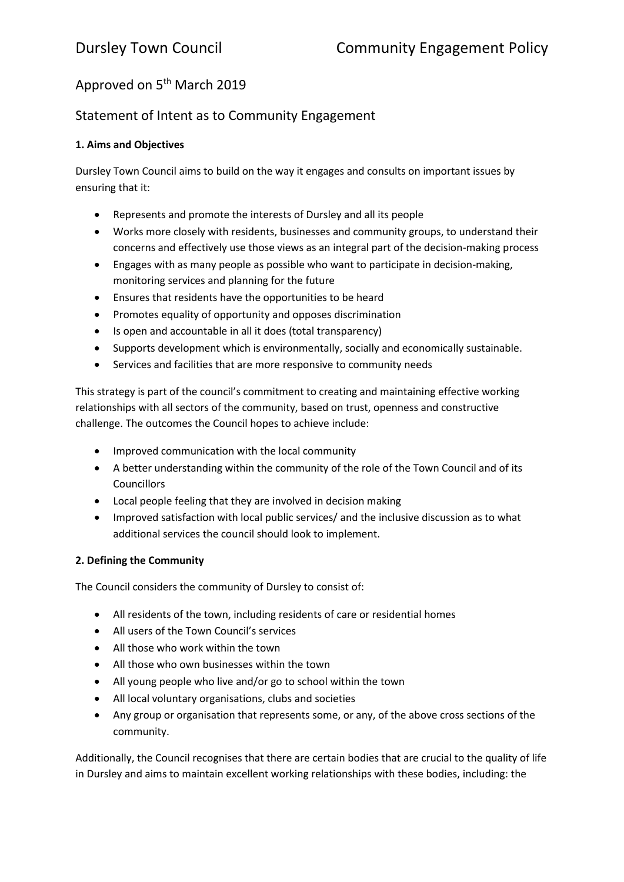# Approved on 5<sup>th</sup> March 2019

## Statement of Intent as to Community Engagement

### **1. Aims and Objectives**

Dursley Town Council aims to build on the way it engages and consults on important issues by ensuring that it:

- Represents and promote the interests of Dursley and all its people
- Works more closely with residents, businesses and community groups, to understand their concerns and effectively use those views as an integral part of the decision-making process
- Engages with as many people as possible who want to participate in decision-making, monitoring services and planning for the future
- Ensures that residents have the opportunities to be heard
- Promotes equality of opportunity and opposes discrimination
- Is open and accountable in all it does (total transparency)
- Supports development which is environmentally, socially and economically sustainable.
- Services and facilities that are more responsive to community needs

This strategy is part of the council's commitment to creating and maintaining effective working relationships with all sectors of the community, based on trust, openness and constructive challenge. The outcomes the Council hopes to achieve include:

- Improved communication with the local community
- A better understanding within the community of the role of the Town Council and of its **Councillors**
- Local people feeling that they are involved in decision making
- Improved satisfaction with local public services/ and the inclusive discussion as to what additional services the council should look to implement.

#### **2. Defining the Community**

The Council considers the community of Dursley to consist of:

- All residents of the town, including residents of care or residential homes
- All users of the Town Council's services
- All those who work within the town
- All those who own businesses within the town
- All young people who live and/or go to school within the town
- All local voluntary organisations, clubs and societies
- Any group or organisation that represents some, or any, of the above cross sections of the community.

Additionally, the Council recognises that there are certain bodies that are crucial to the quality of life in Dursley and aims to maintain excellent working relationships with these bodies, including: the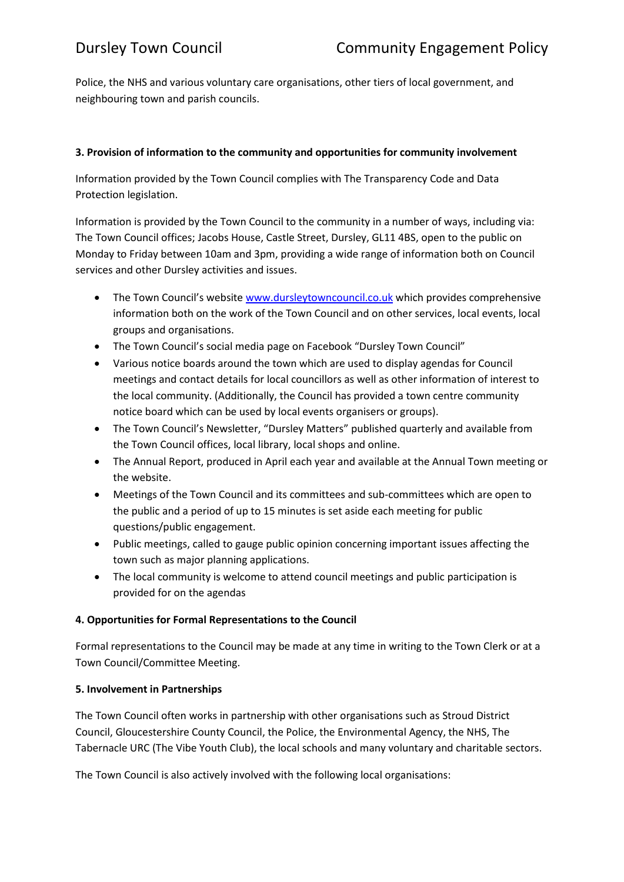Police, the NHS and various voluntary care organisations, other tiers of local government, and neighbouring town and parish councils.

### **3. Provision of information to the community and opportunities for community involvement**

Information provided by the Town Council complies with The Transparency Code and Data Protection legislation.

Information is provided by the Town Council to the community in a number of ways, including via: The Town Council offices; Jacobs House, Castle Street, Dursley, GL11 4BS, open to the public on Monday to Friday between 10am and 3pm, providing a wide range of information both on Council services and other Dursley activities and issues.

- The Town Council's website [www.dursleytowncouncil.co.uk](http://www.dursleytowncouncil.co.uk/) which provides comprehensive information both on the work of the Town Council and on other services, local events, local groups and organisations.
- The Town Council's social media page on Facebook "Dursley Town Council"
- Various notice boards around the town which are used to display agendas for Council meetings and contact details for local councillors as well as other information of interest to the local community. (Additionally, the Council has provided a town centre community notice board which can be used by local events organisers or groups).
- The Town Council's Newsletter, "Dursley Matters" published quarterly and available from the Town Council offices, local library, local shops and online.
- The Annual Report, produced in April each year and available at the Annual Town meeting or the website.
- Meetings of the Town Council and its committees and sub-committees which are open to the public and a period of up to 15 minutes is set aside each meeting for public questions/public engagement.
- Public meetings, called to gauge public opinion concerning important issues affecting the town such as major planning applications.
- The local community is welcome to attend council meetings and public participation is provided for on the agendas

#### **4. Opportunities for Formal Representations to the Council**

Formal representations to the Council may be made at any time in writing to the Town Clerk or at a Town Council/Committee Meeting.

#### **5. Involvement in Partnerships**

The Town Council often works in partnership with other organisations such as Stroud District Council, Gloucestershire County Council, the Police, the Environmental Agency, the NHS, The Tabernacle URC (The Vibe Youth Club), the local schools and many voluntary and charitable sectors.

The Town Council is also actively involved with the following local organisations: